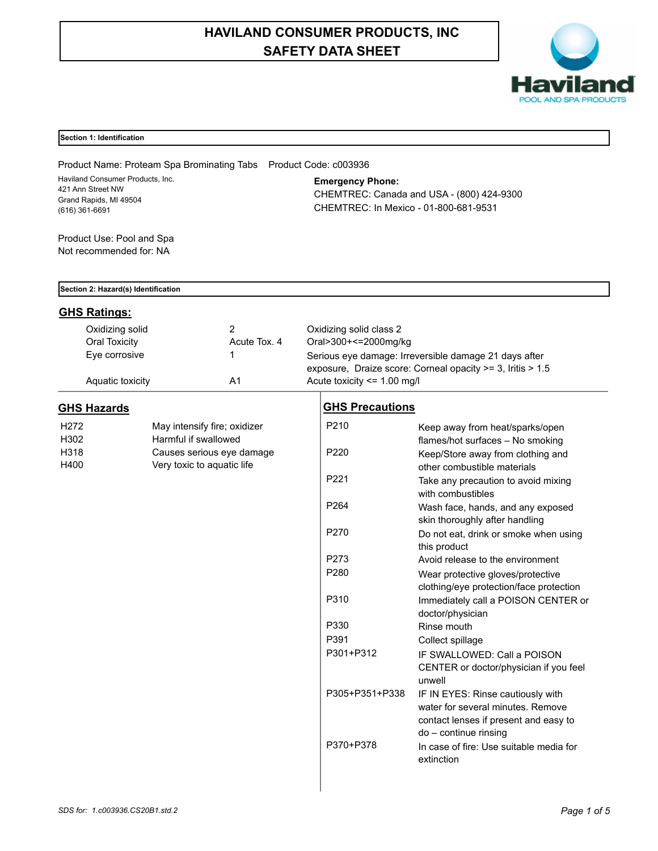# **HAVILAND CONSUMER PRODUCTS, INC SAFETY DATA SHEET**



## **Section 1: Identification**

Product Name: Proteam Spa Brominating Tabs Product Code: c003936 Haviland Consumer Products, Inc. 421 Ann Street NW Grand Rapids, MI 49504 (616) 361-6691

**Emergency Phone:**

CHEMTREC: Canada and USA - (800) 424-9300 CHEMTREC: In Mexico - 01-800-681-9531

Product Use: Pool and Spa Not recommended for: NA

|  |  | Section 2: Hazard(s) Identification |
|--|--|-------------------------------------|
|  |  |                                     |

## **GHS Ratings:**

| Oxidizing solid<br>Oral Toxicity | Acute Tox, 4 | Oxidizing solid class 2<br>Oral>300+<=2000mg/kg                                               |
|----------------------------------|--------------|-----------------------------------------------------------------------------------------------|
| Eye corrosive                    |              | Serious eye damage: Irreversible damage 21 days after                                         |
| Aquatic toxicity                 | A1           | exposure, Draize score: Corneal opacity >= 3, Iritis > 1.5<br>Acute toxicity $\leq$ 1.00 mg/l |

# **GHS Hazards**

| H <sub>272</sub> | May intensify fire; oxidizer |
|------------------|------------------------------|
| H302             | Harmful if swallowed         |
| H318             | Causes serious eye damage    |
| H400             | Very toxic to aquatic life   |

| <b>GHS Precautions</b> |  |
|------------------------|--|
|                        |  |

| P <sub>210</sub> | Keep away from heat/sparks/open<br>flames/hot surfaces - No smoking |
|------------------|---------------------------------------------------------------------|
| P <sub>220</sub> | Keep/Store away from clothing and                                   |
|                  | other combustible materials                                         |
| P <sub>221</sub> | Take any precaution to avoid mixing                                 |
|                  | with combustibles                                                   |
| P <sub>264</sub> | Wash face, hands, and any exposed                                   |
|                  | skin thoroughly after handling                                      |
| P270             | Do not eat, drink or smoke when using                               |
|                  | this product                                                        |
| P273             | Avoid release to the environment                                    |
| P <sub>280</sub> | Wear protective gloves/protective                                   |
|                  | clothing/eye protection/face protection                             |
| P310             | Immediately call a POISON CENTER or                                 |
|                  | doctor/physician                                                    |
| P330             | Rinse mouth                                                         |
| P391             | Collect spillage                                                    |
| P301+P312        | IF SWALLOWED: Call a POISON                                         |
|                  | CENTER or doctor/physician if you feel                              |
|                  | unwell                                                              |
| P305+P351+P338   | IF IN EYES: Rinse cautiously with                                   |
|                  | water for several minutes. Remove                                   |
|                  | contact lenses if present and easy to                               |
|                  | do – continue rinsing                                               |
| P370+P378        | In case of fire: Use suitable media for                             |
|                  | extinction                                                          |
|                  |                                                                     |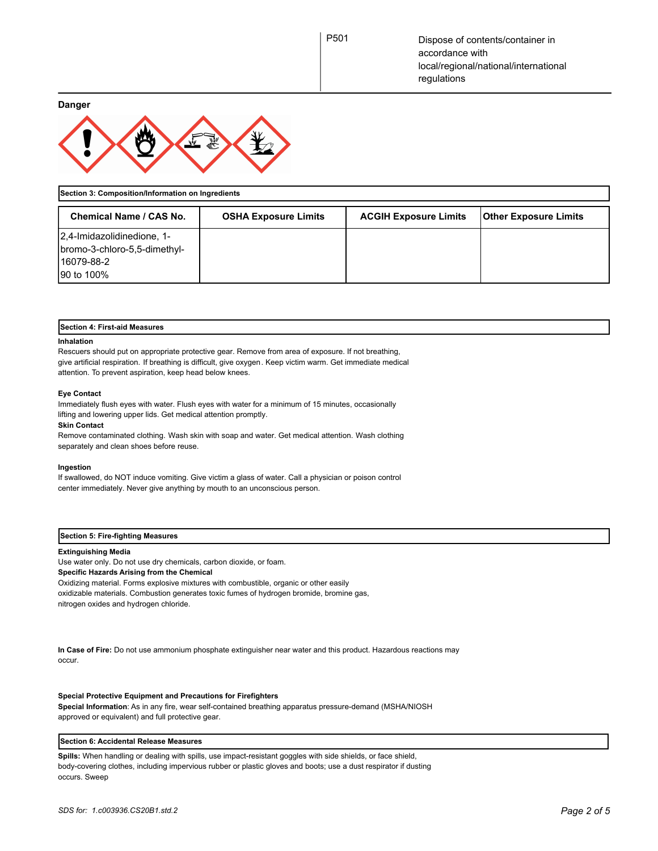**Danger**



**Section 3: Composition/Information on Ingredients**

| <b>Chemical Name / CAS No.</b>                                                         | <b>OSHA Exposure Limits</b> | <b>ACGIH Exposure Limits</b> | <b>Other Exposure Limits</b> |
|----------------------------------------------------------------------------------------|-----------------------------|------------------------------|------------------------------|
| 2,4-Imidazolidinedione, 1-<br>bromo-3-chloro-5,5-dimethyl-<br>16079-88-2<br>90 to 100% |                             |                              |                              |

## **Section 4: First-aid Measures**

#### **Inhalation**

Rescuers should put on appropriate protective gear. Remove from area of exposure. If not breathing, give artificial respiration. If breathing is difficult, give oxygen. Keep victim warm. Get immediate medical attention. To prevent aspiration, keep head below knees.

#### **Eye Contact**

Immediately flush eyes with water. Flush eyes with water for a minimum of 15 minutes, occasionally lifting and lowering upper lids. Get medical attention promptly.

#### **Skin Contact**

Remove contaminated clothing. Wash skin with soap and water. Get medical attention. Wash clothing separately and clean shoes before reuse.

#### **Ingestion**

If swallowed, do NOT induce vomiting. Give victim a glass of water. Call a physician or poison control center immediately. Never give anything by mouth to an unconscious person.

#### **Section 5: Fire-fighting Measures**

## **Extinguishing Media**

Use water only. Do not use dry chemicals, carbon dioxide, or foam. **Specific Hazards Arising from the Chemical** Oxidizing material. Forms explosive mixtures with combustible, organic or other easily

oxidizable materials. Combustion generates toxic fumes of hydrogen bromide, bromine gas, nitrogen oxides and hydrogen chloride.

**In Case of Fire:** Do not use ammonium phosphate extinguisher near water and this product. Hazardous reactions may occur.

#### **Special Protective Equipment and Precautions for Firefighters**

**Special Information**: As in any fire, wear self-contained breathing apparatus pressure-demand (MSHA/NIOSH approved or equivalent) and full protective gear.

## **Section 6: Accidental Release Measures**

**Spills:** When handling or dealing with spills, use impact-resistant goggles with side shields, or face shield, body-covering clothes, including impervious rubber or plastic gloves and boots; use a dust respirator if dusting occurs. Sweep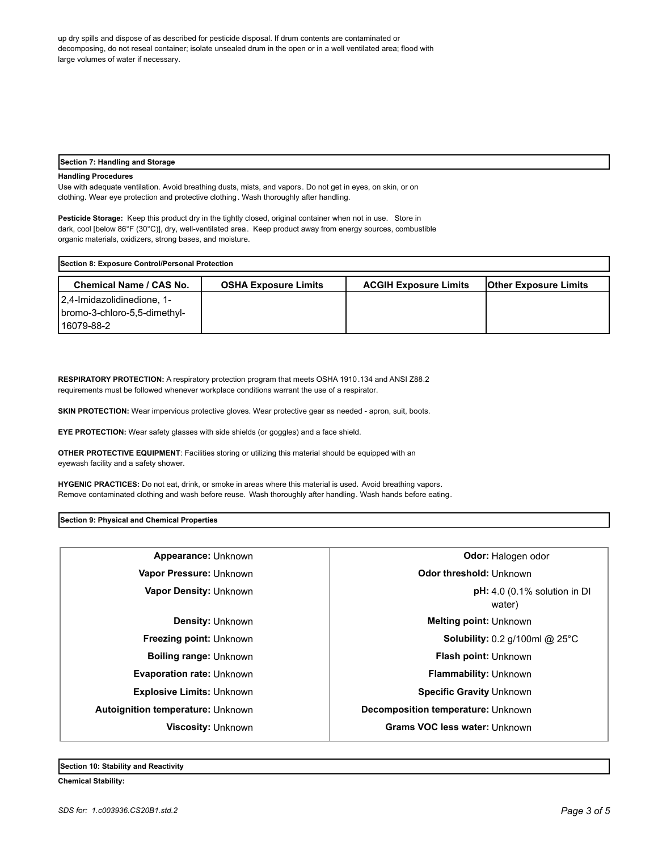up dry spills and dispose of as described for pesticide disposal. If drum contents are contaminated or decomposing, do not reseal container; isolate unsealed drum in the open or in a well ventilated area; flood with large volumes of water if necessary.

#### **Section 7: Handling and Storage**

## **Handling Procedures**

Use with adequate ventilation. Avoid breathing dusts, mists, and vapors. Do not get in eyes, on skin, or on clothing. Wear eye protection and protective clothing. Wash thoroughly after handling.

**Pesticide Storage:** Keep this product dry in the tightly closed, original container when not in use. Store in dark, cool [below 86°F (30°C)], dry, well-ventilated area. Keep product away from energy sources, combustible organic materials, oxidizers, strong bases, and moisture.

| Section 8: Exposure Control/Personal Protection |                             |                              |                              |
|-------------------------------------------------|-----------------------------|------------------------------|------------------------------|
| <b>Chemical Name / CAS No.</b>                  | <b>OSHA Exposure Limits</b> | <b>ACGIH Exposure Limits</b> | <b>Other Exposure Limits</b> |
| 2.4-Imidazolidinedione, 1-                      |                             |                              |                              |
| bromo-3-chloro-5,5-dimethyl-                    |                             |                              |                              |
| 116079-88-2                                     |                             |                              |                              |

**RESPIRATORY PROTECTION:** A respiratory protection program that meets OSHA 1910.134 and ANSI Z88.2 requirements must be followed whenever workplace conditions warrant the use of a respirator.

**SKIN PROTECTION:** Wear impervious protective gloves. Wear protective gear as needed - apron, suit, boots.

**EYE PROTECTION:** Wear safety glasses with side shields (or goggles) and a face shield.

**OTHER PROTECTIVE EQUIPMENT**: Facilities storing or utilizing this material should be equipped with an eyewash facility and a safety shower.

**HYGENIC PRACTICES:** Do not eat, drink, or smoke in areas where this material is used. Avoid breathing vapors. Remove contaminated clothing and wash before reuse. Wash thoroughly after handling. Wash hands before eating.

**Section 9: Physical and Chemical Properties**

| Appearance: Unknown                      | <b>Odor: Halogen odor</b>                           |  |
|------------------------------------------|-----------------------------------------------------|--|
| Vapor Pressure: Unknown                  | Odor threshold: Unknown                             |  |
| Vapor Density: Unknown                   | $pH: 4.0$ (0.1% solution in DI<br>water)            |  |
| <b>Density: Unknown</b>                  | <b>Melting point: Unknown</b>                       |  |
| <b>Freezing point: Unknown</b>           | <b>Solubility:</b> 0.2 $q/100$ ml @ 25 $^{\circ}$ C |  |
| <b>Boiling range: Unknown</b>            | Flash point: Unknown                                |  |
| <b>Evaporation rate: Unknown</b>         | <b>Flammability: Unknown</b>                        |  |
| <b>Explosive Limits: Unknown</b>         | <b>Specific Gravity Unknown</b>                     |  |
| <b>Autoignition temperature: Unknown</b> | Decomposition temperature: Unknown                  |  |
| <b>Viscosity: Unknown</b>                | Grams VOC less water: Unknown                       |  |
|                                          |                                                     |  |

**Section 10: Stability and Reactivity** 

**Chemical Stability:**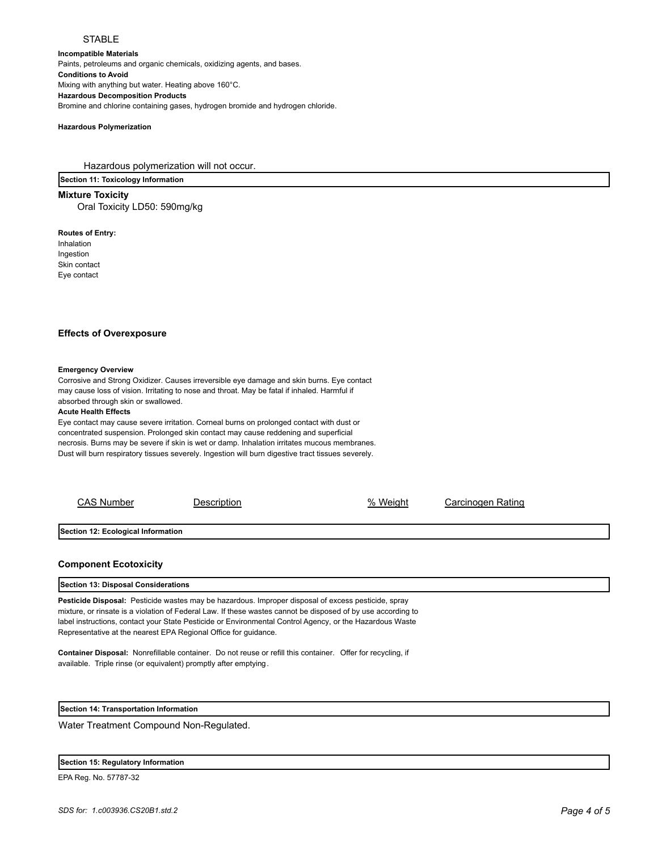## **STABLE**

**Incompatible Materials**  Paints, petroleums and organic chemicals, oxidizing agents, and bases. **Conditions to Avoid** Mixing with anything but water. Heating above 160°C. **Hazardous Decomposition Products** Bromine and chlorine containing gases, hydrogen bromide and hydrogen chloride.

#### **Hazardous Polymerization**

Hazardous polymerization will not occur.

**Section 11: Toxicology Information**

**Mixture Toxicity** Oral Toxicity LD50: 590mg/kg

**Routes of Entry:** Inhalation Ingestion Skin contact Eye contact

### **Effects of Overexposure**

#### **Emergency Overview**

Corrosive and Strong Oxidizer. Causes irreversible eye damage and skin burns. Eye contact may cause loss of vision. Irritating to nose and throat. May be fatal if inhaled. Harmful if absorbed through skin or swallowed.

#### **Acute Health Effects**

Eye contact may cause severe irritation. Corneal burns on prolonged contact with dust or concentrated suspension. Prolonged skin contact may cause reddening and superficial necrosis. Burns may be severe if skin is wet or damp. Inhalation irritates mucous membranes. Dust will burn respiratory tissues severely. Ingestion will burn digestive tract tissues severely.

| <b>CAS Number</b>                  | Description | % Weight | Carcinogen Rating |
|------------------------------------|-------------|----------|-------------------|
| Section 12: Ecological Information |             |          |                   |
|                                    |             |          |                   |

### **Component Ecotoxicity**

**Section 13: Disposal Considerations**

**Pesticide Disposal:** Pesticide wastes may be hazardous. Improper disposal of excess pesticide, spray mixture, or rinsate is a violation of Federal Law. If these wastes cannot be disposed of by use according to label instructions, contact your State Pesticide or Environmental Control Agency, or the Hazardous Waste Representative at the nearest EPA Regional Office for guidance.

**Container Disposal:** Nonrefillable container. Do not reuse or refill this container. Offer for recycling, if available. Triple rinse (or equivalent) promptly after emptying.

**Section 14: Transportation Information**

Water Treatment Compound Non-Regulated.

|  | Section 15: Regulatory Information |  |
|--|------------------------------------|--|
|--|------------------------------------|--|

EPA Reg. No. 57787-32